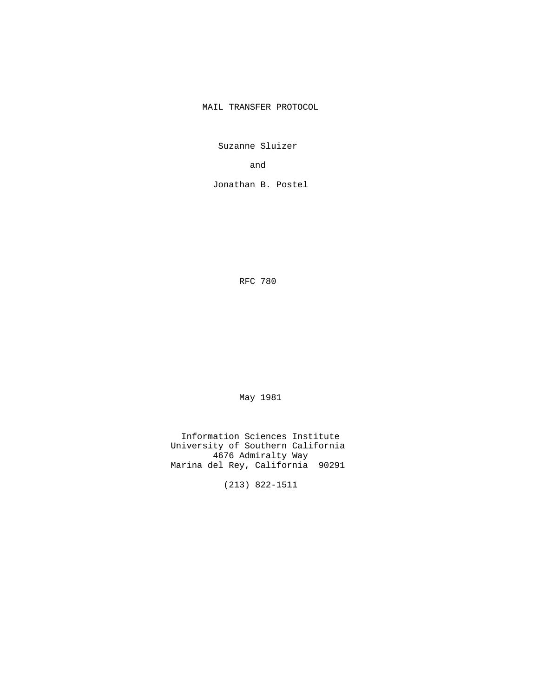MAIL TRANSFER PROTOCOL

Suzanne Sluizer

and the contract of the contract of the contract of the contract of the contract of the contract of the contract of the contract of the contract of the contract of the contract of the contract of the contract of the contra

Jonathan B. Postel

RFC 780

May 1981

 Information Sciences Institute University of Southern California 4676 Admiralty Way Marina del Rey, California 90291

(213) 822-1511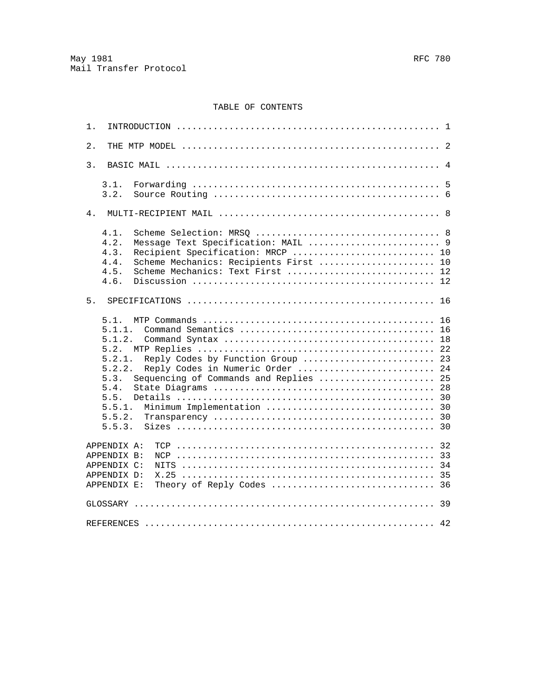# TABLE OF CONTENTS

| 1.                                                                                                                                                                                                                |                                                    |
|-------------------------------------------------------------------------------------------------------------------------------------------------------------------------------------------------------------------|----------------------------------------------------|
| 2.                                                                                                                                                                                                                |                                                    |
| 3.                                                                                                                                                                                                                |                                                    |
| 3.1.<br>3.2.                                                                                                                                                                                                      |                                                    |
| $4$ .                                                                                                                                                                                                             |                                                    |
| 4.1.<br>4.2.<br>Message Text Specification: MAIL  9<br>4.3.<br>Recipient Specification: MRCP  10<br>4.4.<br>Scheme Mechanics: Recipients First  10<br>4.5.<br>Scheme Mechanics: Text First  12<br>4.6.            |                                                    |
| 5.                                                                                                                                                                                                                |                                                    |
| 5.1.<br>5.1.1.<br>5.1.2.<br>5.2.<br>5.2.1.<br>Reply Codes by Function Group<br>5.2.2.<br>Reply Codes in Numeric Order<br>Sequencing of Commands and Replies<br>5.3.<br>5.4.<br>5.5.<br>5.5.1.<br>5.5.2.<br>5.5.3. | 16<br>16<br>18<br>22<br>23<br>24<br>25<br>28<br>30 |
| APPENDIX A:<br>APPENDIX B:<br>APPENDIX C:<br>APPENDIX D:<br>APPENDIX E:                                                                                                                                           | 32                                                 |
|                                                                                                                                                                                                                   |                                                    |
|                                                                                                                                                                                                                   |                                                    |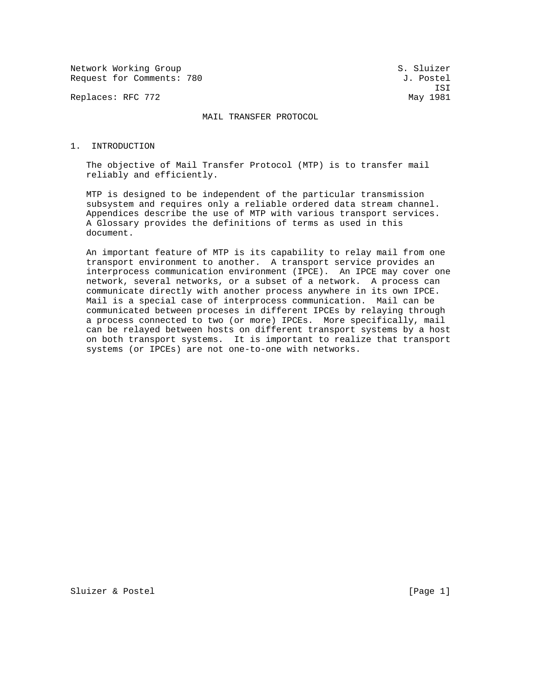Network Working Group S. Sluizer Request for Comments: 780 J. Postel

Replaces: RFC 772 May 1981

ISI

MAIL TRANSFER PROTOCOL

#### 1. INTRODUCTION

 The objective of Mail Transfer Protocol (MTP) is to transfer mail reliably and efficiently.

 MTP is designed to be independent of the particular transmission subsystem and requires only a reliable ordered data stream channel. Appendices describe the use of MTP with various transport services. A Glossary provides the definitions of terms as used in this document.

 An important feature of MTP is its capability to relay mail from one transport environment to another. A transport service provides an interprocess communication environment (IPCE). An IPCE may cover one network, several networks, or a subset of a network. A process can communicate directly with another process anywhere in its own IPCE. Mail is a special case of interprocess communication. Mail can be communicated between proceses in different IPCEs by relaying through a process connected to two (or more) IPCEs. More specifically, mail can be relayed between hosts on different transport systems by a host on both transport systems. It is important to realize that transport systems (or IPCEs) are not one-to-one with networks.

Sluizer & Postel [Page 1]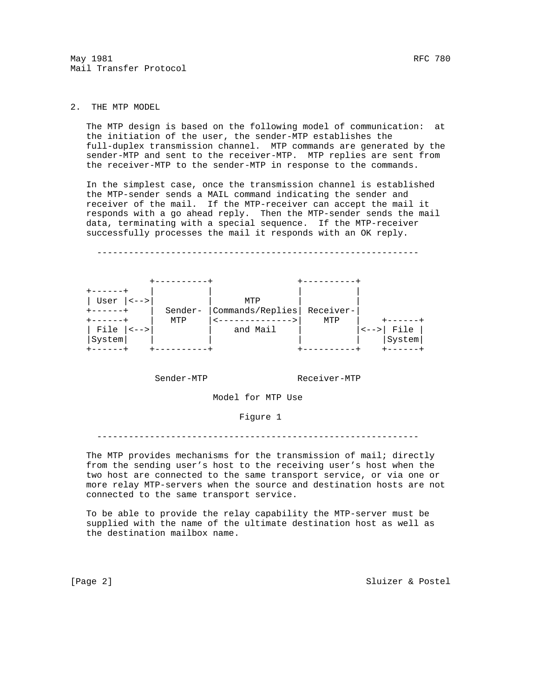# 2. THE MTP MODEL

 The MTP design is based on the following model of communication: at the initiation of the user, the sender-MTP establishes the full-duplex transmission channel. MTP commands are generated by the sender-MTP and sent to the receiver-MTP. MTP replies are sent from the receiver-MTP to the sender-MTP in response to the commands.

 In the simplest case, once the transmission channel is established the MTP-sender sends a MAIL command indicating the sender and receiver of the mail. If the MTP-receiver can accept the mail it responds with a go ahead reply. Then the MTP-sender sends the mail data, terminating with a special sequence. If the MTP-receiver successfully processes the mail it responds with an OK reply.



Sender-MTP Receiver-MTP

Model for MTP Use

### Figure 1

-------------------------------------------------------------

The MTP provides mechanisms for the transmission of mail; directly from the sending user's host to the receiving user's host when the two host are connected to the same transport service, or via one or more relay MTP-servers when the source and destination hosts are not connected to the same transport service.

 To be able to provide the relay capability the MTP-server must be supplied with the name of the ultimate destination host as well as the destination mailbox name.

[Page 2] Sluizer & Postel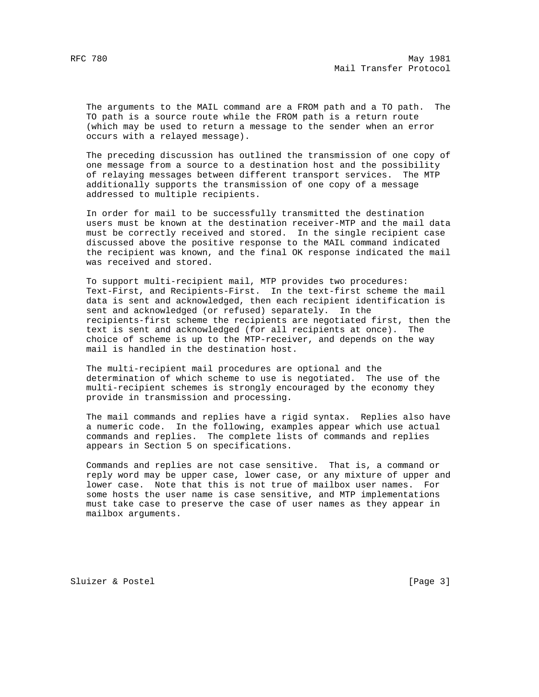The arguments to the MAIL command are a FROM path and a TO path. The TO path is a source route while the FROM path is a return route (which may be used to return a message to the sender when an error occurs with a relayed message).

 The preceding discussion has outlined the transmission of one copy of one message from a source to a destination host and the possibility of relaying messages between different transport services. The MTP additionally supports the transmission of one copy of a message addressed to multiple recipients.

 In order for mail to be successfully transmitted the destination users must be known at the destination receiver-MTP and the mail data must be correctly received and stored. In the single recipient case discussed above the positive response to the MAIL command indicated the recipient was known, and the final OK response indicated the mail was received and stored.

 To support multi-recipient mail, MTP provides two procedures: Text-First, and Recipients-First. In the text-first scheme the mail data is sent and acknowledged, then each recipient identification is sent and acknowledged (or refused) separately. In the recipients-first scheme the recipients are negotiated first, then the text is sent and acknowledged (for all recipients at once). The choice of scheme is up to the MTP-receiver, and depends on the way mail is handled in the destination host.

 The multi-recipient mail procedures are optional and the determination of which scheme to use is negotiated. The use of the multi-recipient schemes is strongly encouraged by the economy they provide in transmission and processing.

 The mail commands and replies have a rigid syntax. Replies also have a numeric code. In the following, examples appear which use actual commands and replies. The complete lists of commands and replies appears in Section 5 on specifications.

 Commands and replies are not case sensitive. That is, a command or reply word may be upper case, lower case, or any mixture of upper and lower case. Note that this is not true of mailbox user names. For some hosts the user name is case sensitive, and MTP implementations must take case to preserve the case of user names as they appear in mailbox arguments.

Sluizer & Postel [Page 3]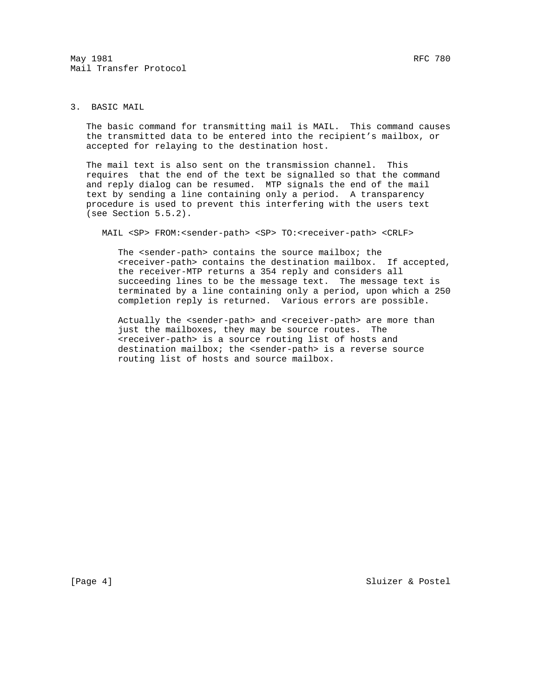$\texttt{May 1981} \quad \texttt{RFC 780}$ Mail Transfer Protocol

# 3. BASIC MAIL

 The basic command for transmitting mail is MAIL. This command causes the transmitted data to be entered into the recipient's mailbox, or accepted for relaying to the destination host.

 The mail text is also sent on the transmission channel. This requires that the end of the text be signalled so that the command and reply dialog can be resumed. MTP signals the end of the mail text by sending a line containing only a period. A transparency procedure is used to prevent this interfering with the users text (see Section 5.5.2).

MAIL <SP> FROM:<sender-path> <SP> TO:<receiver-path> <CRLF>

 The <sender-path> contains the source mailbox; the <receiver-path> contains the destination mailbox. If accepted, the receiver-MTP returns a 354 reply and considers all succeeding lines to be the message text. The message text is terminated by a line containing only a period, upon which a 250 completion reply is returned. Various errors are possible.

Actually the <sender-path> and <receiver-path> are more than just the mailboxes, they may be source routes. The <receiver-path> is a source routing list of hosts and destination mailbox; the <sender-path> is a reverse source routing list of hosts and source mailbox.

[Page 4] Sluizer & Postel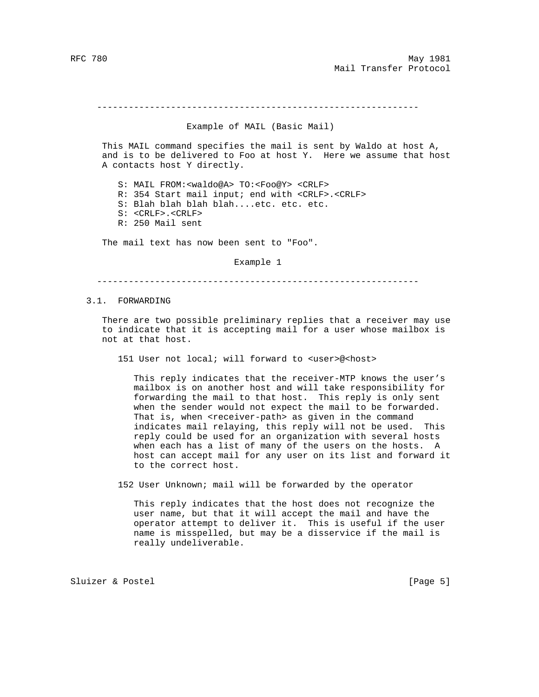#### -------------------------------------------------------------

### Example of MAIL (Basic Mail)

 This MAIL command specifies the mail is sent by Waldo at host A, and is to be delivered to Foo at host Y. Here we assume that host A contacts host Y directly.

 S: MAIL FROM:<waldo@A> TO:<Foo@Y> <CRLF> R: 354 Start mail input; end with <CRLF>.<CRLF> S: Blah blah blah blah....etc. etc. etc. S: <CRLF>.<CRLF> R: 250 Mail sent

The mail text has now been sent to "Foo".

Example 1

-------------------------------------------------------------

3.1. FORWARDING

 There are two possible preliminary replies that a receiver may use to indicate that it is accepting mail for a user whose mailbox is not at that host.

151 User not local; will forward to <user>@<host>

 This reply indicates that the receiver-MTP knows the user's mailbox is on another host and will take responsibility for forwarding the mail to that host. This reply is only sent when the sender would not expect the mail to be forwarded. That is, when <receiver-path> as given in the command indicates mail relaying, this reply will not be used. This reply could be used for an organization with several hosts when each has a list of many of the users on the hosts. A host can accept mail for any user on its list and forward it to the correct host.

152 User Unknown; mail will be forwarded by the operator

 This reply indicates that the host does not recognize the user name, but that it will accept the mail and have the operator attempt to deliver it. This is useful if the user name is misspelled, but may be a disservice if the mail is really undeliverable.

Sluizer & Postel (Page 5)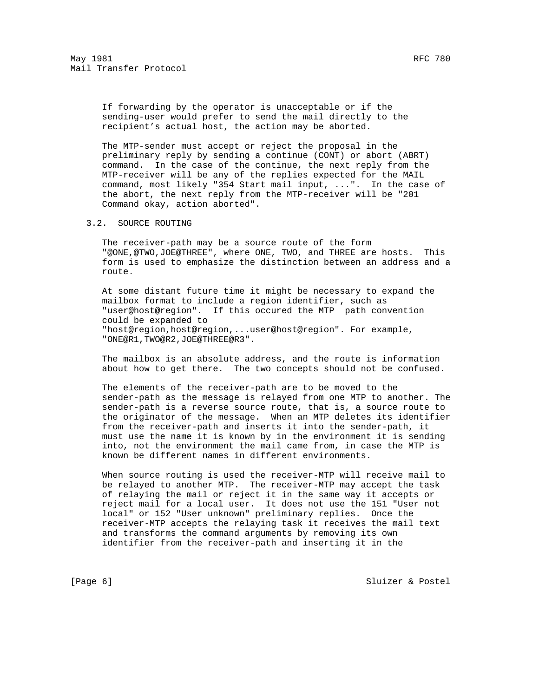If forwarding by the operator is unacceptable or if the sending-user would prefer to send the mail directly to the recipient's actual host, the action may be aborted.

 The MTP-sender must accept or reject the proposal in the preliminary reply by sending a continue (CONT) or abort (ABRT) command. In the case of the continue, the next reply from the MTP-receiver will be any of the replies expected for the MAIL command, most likely "354 Start mail input, ...". In the case of the abort, the next reply from the MTP-receiver will be "201 Command okay, action aborted".

### 3.2. SOURCE ROUTING

 The receiver-path may be a source route of the form "@ONE,@TWO,JOE@THREE", where ONE, TWO, and THREE are hosts. This form is used to emphasize the distinction between an address and a route.

 At some distant future time it might be necessary to expand the mailbox format to include a region identifier, such as "user@host@region". If this occured the MTP path convention could be expanded to "host@region,host@region,...user@host@region". For example, "ONE@R1,TWO@R2,JOE@THREE@R3".

 The mailbox is an absolute address, and the route is information about how to get there. The two concepts should not be confused.

 The elements of the receiver-path are to be moved to the sender-path as the message is relayed from one MTP to another. The sender-path is a reverse source route, that is, a source route to the originator of the message. When an MTP deletes its identifier from the receiver-path and inserts it into the sender-path, it must use the name it is known by in the environment it is sending into, not the environment the mail came from, in case the MTP is known be different names in different environments.

 When source routing is used the receiver-MTP will receive mail to be relayed to another MTP. The receiver-MTP may accept the task of relaying the mail or reject it in the same way it accepts or reject mail for a local user. It does not use the 151 "User not local" or 152 "User unknown" preliminary replies. Once the receiver-MTP accepts the relaying task it receives the mail text and transforms the command arguments by removing its own identifier from the receiver-path and inserting it in the

[Page 6] Sluizer & Postel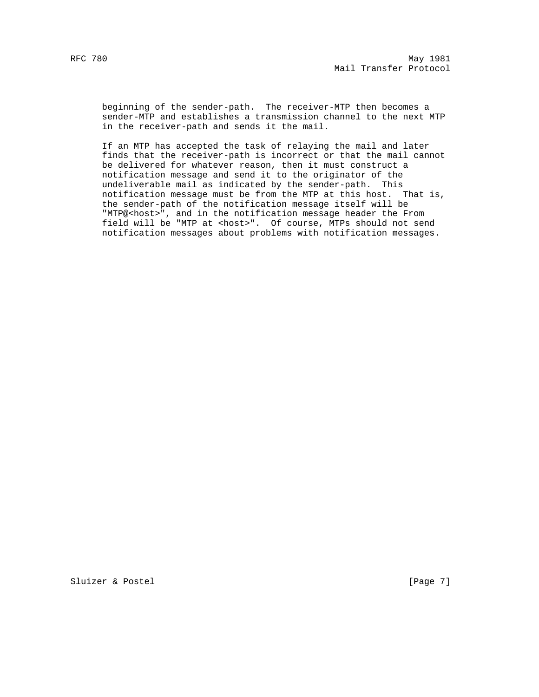beginning of the sender-path. The receiver-MTP then becomes a sender-MTP and establishes a transmission channel to the next MTP in the receiver-path and sends it the mail.

 If an MTP has accepted the task of relaying the mail and later finds that the receiver-path is incorrect or that the mail cannot be delivered for whatever reason, then it must construct a notification message and send it to the originator of the undeliverable mail as indicated by the sender-path. This notification message must be from the MTP at this host. That is, the sender-path of the notification message itself will be "MTP@<host>", and in the notification message header the From field will be "MTP at <host>". Of course, MTPs should not send notification messages about problems with notification messages.

Sluizer & Postel [Page 7]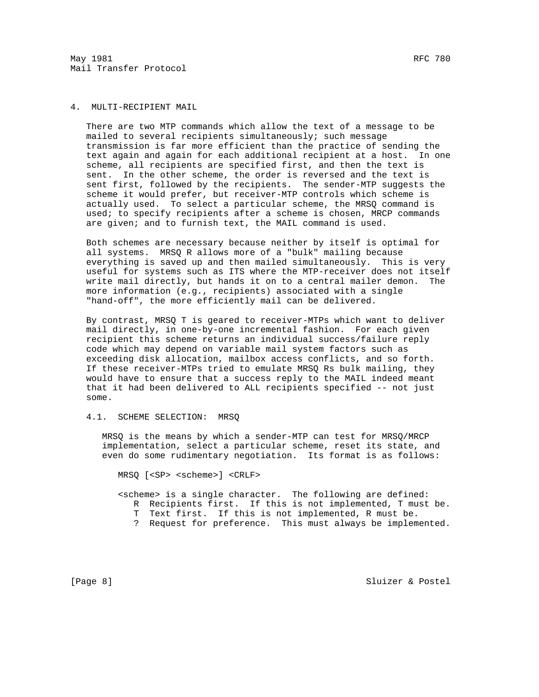$\texttt{May 1981} \quad \texttt{RFC 780}$ Mail Transfer Protocol

## 4. MULTI-RECIPIENT MAIL

 There are two MTP commands which allow the text of a message to be mailed to several recipients simultaneously; such message transmission is far more efficient than the practice of sending the text again and again for each additional recipient at a host. In one scheme, all recipients are specified first, and then the text is sent. In the other scheme, the order is reversed and the text is sent first, followed by the recipients. The sender-MTP suggests the scheme it would prefer, but receiver-MTP controls which scheme is actually used. To select a particular scheme, the MRSQ command is used; to specify recipients after a scheme is chosen, MRCP commands are given; and to furnish text, the MAIL command is used.

 Both schemes are necessary because neither by itself is optimal for all systems. MRSQ R allows more of a "bulk" mailing because everything is saved up and then mailed simultaneously. This is very useful for systems such as ITS where the MTP-receiver does not itself write mail directly, but hands it on to a central mailer demon. The more information (e.g., recipients) associated with a single "hand-off", the more efficiently mail can be delivered.

 By contrast, MRSQ T is geared to receiver-MTPs which want to deliver mail directly, in one-by-one incremental fashion. For each given recipient this scheme returns an individual success/failure reply code which may depend on variable mail system factors such as exceeding disk allocation, mailbox access conflicts, and so forth. If these receiver-MTPs tried to emulate MRSQ Rs bulk mailing, they would have to ensure that a success reply to the MAIL indeed meant that it had been delivered to ALL recipients specified -- not just some.

### 4.1. SCHEME SELECTION: MRSQ

 MRSQ is the means by which a sender-MTP can test for MRSQ/MRCP implementation, select a particular scheme, reset its state, and even do some rudimentary negotiation. Its format is as follows:

MRSQ [<SP> <scheme>] <CRLF>

 <scheme> is a single character. The following are defined: R Recipients first. If this is not implemented, T must be. T Text first. If this is not implemented, R must be.

? Request for preference. This must always be implemented.

[Page 8] Sluizer & Postel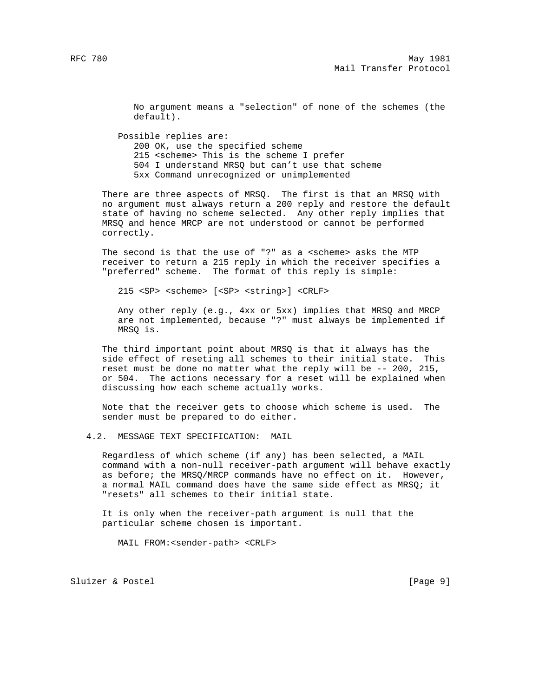No argument means a "selection" of none of the schemes (the default).

 Possible replies are: 200 OK, use the specified scheme 215 <scheme> This is the scheme I prefer 504 I understand MRSQ but can't use that scheme 5xx Command unrecognized or unimplemented

 There are three aspects of MRSQ. The first is that an MRSQ with no argument must always return a 200 reply and restore the default state of having no scheme selected. Any other reply implies that MRSQ and hence MRCP are not understood or cannot be performed correctly.

The second is that the use of "?" as a <scheme> asks the MTP receiver to return a 215 reply in which the receiver specifies a "preferred" scheme. The format of this reply is simple:

215 <SP> <scheme> [<SP> <string>] <CRLF>

 Any other reply (e.g., 4xx or 5xx) implies that MRSQ and MRCP are not implemented, because "?" must always be implemented if MRSQ is.

 The third important point about MRSQ is that it always has the side effect of reseting all schemes to their initial state. This reset must be done no matter what the reply will be -- 200, 215, or 504. The actions necessary for a reset will be explained when discussing how each scheme actually works.

 Note that the receiver gets to choose which scheme is used. The sender must be prepared to do either.

4.2. MESSAGE TEXT SPECIFICATION: MAIL

 Regardless of which scheme (if any) has been selected, a MAIL command with a non-null receiver-path argument will behave exactly as before; the MRSQ/MRCP commands have no effect on it. However, a normal MAIL command does have the same side effect as MRSQ; it "resets" all schemes to their initial state.

 It is only when the receiver-path argument is null that the particular scheme chosen is important.

MAIL FROM:<sender-path> <CRLF>

Sluizer & Postel (Page 9)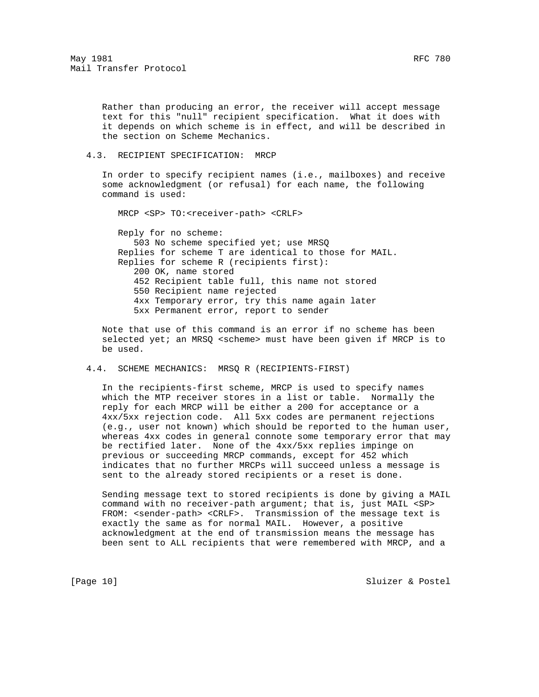Rather than producing an error, the receiver will accept message text for this "null" recipient specification. What it does with it depends on which scheme is in effect, and will be described in the section on Scheme Mechanics.

## 4.3. RECIPIENT SPECIFICATION: MRCP

 In order to specify recipient names (i.e., mailboxes) and receive some acknowledgment (or refusal) for each name, the following command is used:

MRCP <SP> TO:<receiver-path> <CRLF>

 Reply for no scheme: 503 No scheme specified yet; use MRSQ Replies for scheme T are identical to those for MAIL. Replies for scheme R (recipients first): 200 OK, name stored 452 Recipient table full, this name not stored 550 Recipient name rejected 4xx Temporary error, try this name again later 5xx Permanent error, report to sender

 Note that use of this command is an error if no scheme has been selected yet; an MRSQ <scheme> must have been given if MRCP is to be used.

### 4.4. SCHEME MECHANICS: MRSQ R (RECIPIENTS-FIRST)

 In the recipients-first scheme, MRCP is used to specify names which the MTP receiver stores in a list or table. Normally the reply for each MRCP will be either a 200 for acceptance or a 4xx/5xx rejection code. All 5xx codes are permanent rejections (e.g., user not known) which should be reported to the human user, whereas 4xx codes in general connote some temporary error that may be rectified later. None of the 4xx/5xx replies impinge on previous or succeeding MRCP commands, except for 452 which indicates that no further MRCPs will succeed unless a message is sent to the already stored recipients or a reset is done.

 Sending message text to stored recipients is done by giving a MAIL command with no receiver-path argument; that is, just MAIL <SP> FROM: <sender-path> <CRLF>. Transmission of the message text is exactly the same as for normal MAIL. However, a positive acknowledgment at the end of transmission means the message has been sent to ALL recipients that were remembered with MRCP, and a

[Page 10] Sluizer & Postel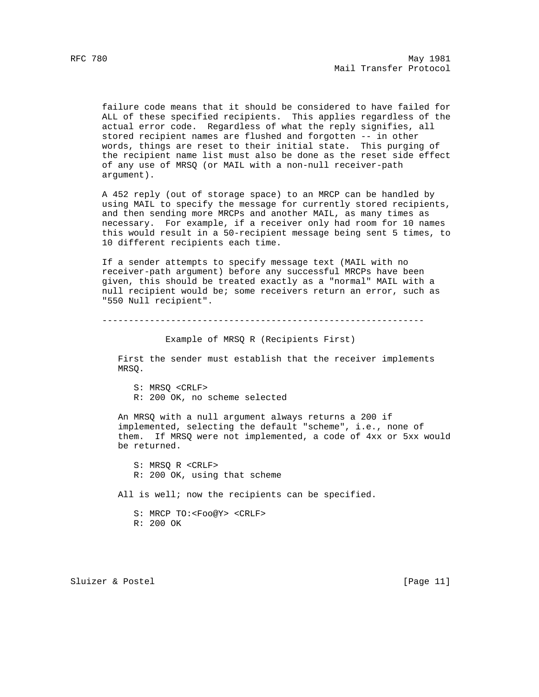failure code means that it should be considered to have failed for ALL of these specified recipients. This applies regardless of the actual error code. Regardless of what the reply signifies, all stored recipient names are flushed and forgotten -- in other words, things are reset to their initial state. This purging of the recipient name list must also be done as the reset side effect of any use of MRSQ (or MAIL with a non-null receiver-path argument).

 A 452 reply (out of storage space) to an MRCP can be handled by using MAIL to specify the message for currently stored recipients, and then sending more MRCPs and another MAIL, as many times as necessary. For example, if a receiver only had room for 10 names this would result in a 50-recipient message being sent 5 times, to 10 different recipients each time.

 If a sender attempts to specify message text (MAIL with no receiver-path argument) before any successful MRCPs have been given, this should be treated exactly as a "normal" MAIL with a null recipient would be; some receivers return an error, such as "550 Null recipient".

-------------------------------------------------------------

Example of MRSQ R (Recipients First)

 First the sender must establish that the receiver implements MRSQ.

 S: MRSQ <CRLF> R: 200 OK, no scheme selected

 An MRSQ with a null argument always returns a 200 if implemented, selecting the default "scheme", i.e., none of them. If MRSQ were not implemented, a code of 4xx or 5xx would be returned.

 S: MRSQ R <CRLF> R: 200 OK, using that scheme All is well; now the recipients can be specified. S: MRCP TO:<Foo@Y> <CRLF>

R: 200 OK

Sluizer & Postel [Page 11]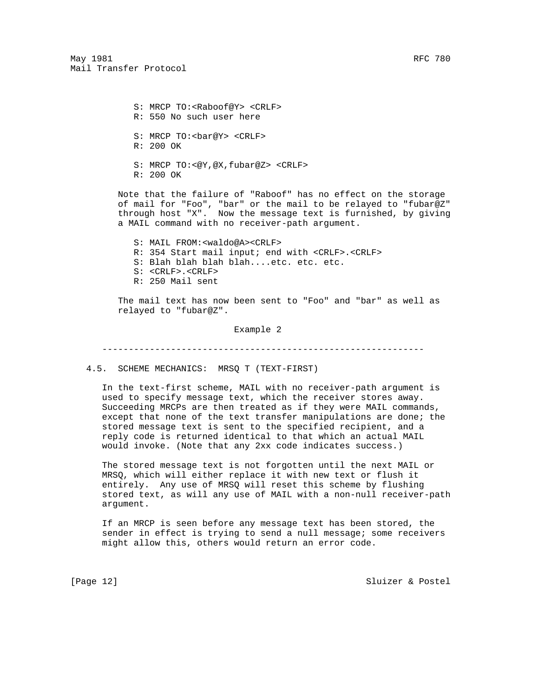S: MRCP TO:<Raboof@Y> <CRLF> R: 550 No such user here S: MRCP TO:<br/>bar@Y> <CRLF> R: 200 OK S: MRCP TO:<@Y,@X,fubar@Z> <CRLF>

R: 200 OK

 Note that the failure of "Raboof" has no effect on the storage of mail for "Foo", "bar" or the mail to be relayed to "fubar@Z" through host "X". Now the message text is furnished, by giving a MAIL command with no receiver-path argument.

 S: MAIL FROM:<waldo@A><CRLF> R: 354 Start mail input; end with <CRLF>.<CRLF> S: Blah blah blah blah....etc. etc. etc. S: <CRLF>.<CRLF> R: 250 Mail sent

 The mail text has now been sent to "Foo" and "bar" as well as relayed to "fubar@Z".

Example 2

-------------------------------------------------------------

4.5. SCHEME MECHANICS: MRSQ T (TEXT-FIRST)

 In the text-first scheme, MAIL with no receiver-path argument is used to specify message text, which the receiver stores away. Succeeding MRCPs are then treated as if they were MAIL commands, except that none of the text transfer manipulations are done; the stored message text is sent to the specified recipient, and a reply code is returned identical to that which an actual MAIL would invoke. (Note that any 2xx code indicates success.)

 The stored message text is not forgotten until the next MAIL or MRSQ, which will either replace it with new text or flush it entirely. Any use of MRSQ will reset this scheme by flushing stored text, as will any use of MAIL with a non-null receiver-path argument.

 If an MRCP is seen before any message text has been stored, the sender in effect is trying to send a null message; some receivers might allow this, others would return an error code.

[Page 12] Sluizer & Postel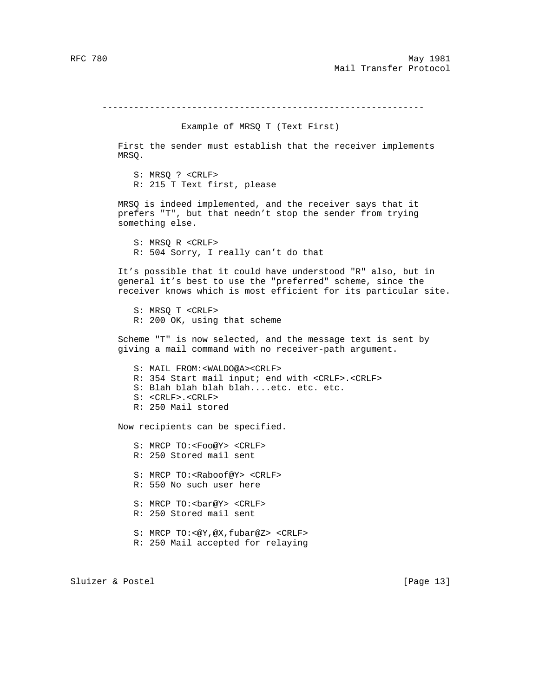-------------------------------------------------------------

### Example of MRSQ T (Text First)

 First the sender must establish that the receiver implements MRSQ.

 S: MRSQ ? <CRLF> R: 215 T Text first, please

 MRSQ is indeed implemented, and the receiver says that it prefers "T", but that needn't stop the sender from trying something else.

 S: MRSQ R <CRLF> R: 504 Sorry, I really can't do that

 It's possible that it could have understood "R" also, but in general it's best to use the "preferred" scheme, since the receiver knows which is most efficient for its particular site.

 S: MRSQ T <CRLF> R: 200 OK, using that scheme

 Scheme "T" is now selected, and the message text is sent by giving a mail command with no receiver-path argument.

 S: MAIL FROM:<WALDO@A><CRLF> R: 354 Start mail input; end with <CRLF>.<CRLF> S: Blah blah blah blah....etc. etc. etc. S: <CRLF>.<CRLF> R: 250 Mail stored

Now recipients can be specified.

 S: MRCP TO:<Foo@Y> <CRLF> R: 250 Stored mail sent S: MRCP TO:<Raboof@Y> <CRLF> R: 550 No such user here S: MRCP TO:<br/>bar@Y> <CRLF> R: 250 Stored mail sent S: MRCP TO:<@Y,@X,fubar@Z> <CRLF> R: 250 Mail accepted for relaying

Sluizer & Postel [Page 13]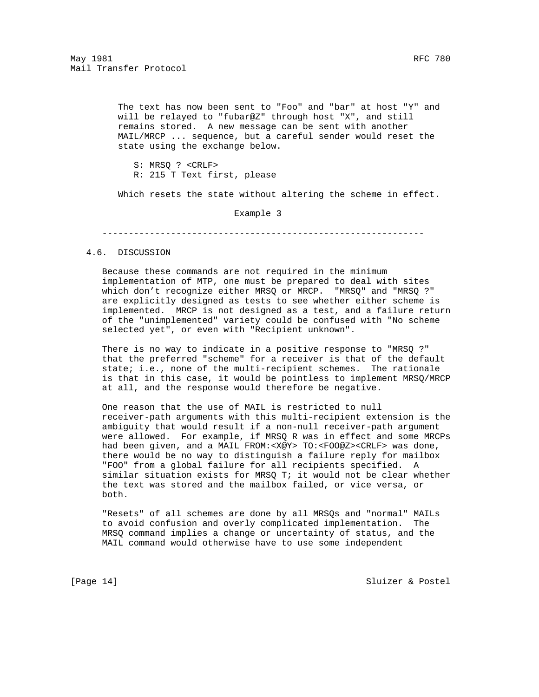The text has now been sent to "Foo" and "bar" at host "Y" and will be relayed to "fubar@Z" through host "X", and still remains stored. A new message can be sent with another MAIL/MRCP ... sequence, but a careful sender would reset the state using the exchange below.

 S: MRSQ ? <CRLF> R: 215 T Text first, please

Which resets the state without altering the scheme in effect.

Example 3

-------------------------------------------------------------

#### 4.6. DISCUSSION

 Because these commands are not required in the minimum implementation of MTP, one must be prepared to deal with sites which don't recognize either MRSQ or MRCP. "MRSQ" and "MRSQ ?" are explicitly designed as tests to see whether either scheme is implemented. MRCP is not designed as a test, and a failure return of the "unimplemented" variety could be confused with "No scheme selected yet", or even with "Recipient unknown".

 There is no way to indicate in a positive response to "MRSQ ?" that the preferred "scheme" for a receiver is that of the default state; i.e., none of the multi-recipient schemes. The rationale is that in this case, it would be pointless to implement MRSQ/MRCP at all, and the response would therefore be negative.

 One reason that the use of MAIL is restricted to null receiver-path arguments with this multi-recipient extension is the ambiguity that would result if a non-null receiver-path argument were allowed. For example, if MRSQ R was in effect and some MRCPs had been given, and a MAIL FROM:<X@Y> TO:<FOO@Z><CRLF> was done, there would be no way to distinguish a failure reply for mailbox "FOO" from a global failure for all recipients specified. A similar situation exists for MRSQ T; it would not be clear whether the text was stored and the mailbox failed, or vice versa, or both.

 "Resets" of all schemes are done by all MRSQs and "normal" MAILs to avoid confusion and overly complicated implementation. The MRSQ command implies a change or uncertainty of status, and the MAIL command would otherwise have to use some independent

[Page 14] Sluizer & Postel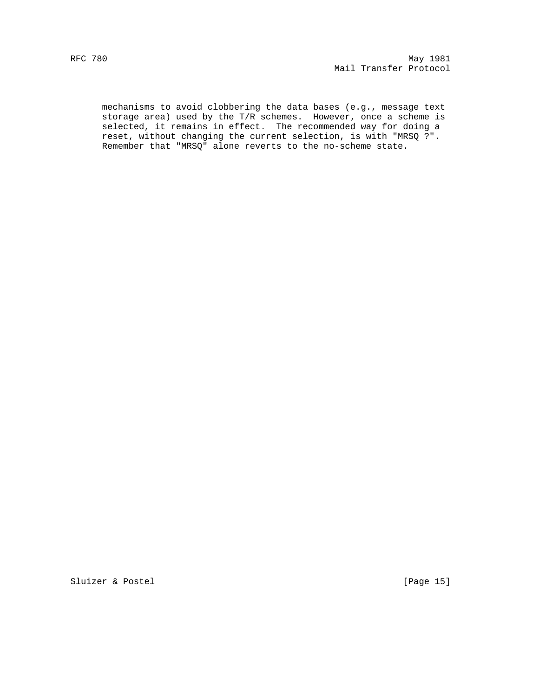mechanisms to avoid clobbering the data bases (e.g., message text storage area) used by the T/R schemes. However, once a scheme is selected, it remains in effect. The recommended way for doing a reset, without changing the current selection, is with "MRSQ ?". Remember that "MRSQ" alone reverts to the no-scheme state.

Sluizer & Postel [Page 15]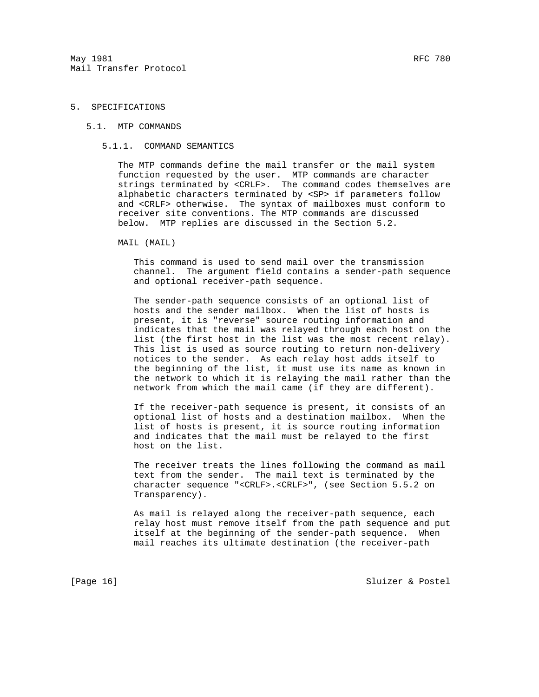## 5. SPECIFICATIONS

#### 5.1. MTP COMMANDS

### 5.1.1. COMMAND SEMANTICS

 The MTP commands define the mail transfer or the mail system function requested by the user. MTP commands are character strings terminated by <CRLF>. The command codes themselves are alphabetic characters terminated by <SP> if parameters follow and <CRLF> otherwise. The syntax of mailboxes must conform to receiver site conventions. The MTP commands are discussed below. MTP replies are discussed in the Section 5.2.

#### MAIL (MAIL)

 This command is used to send mail over the transmission channel. The argument field contains a sender-path sequence and optional receiver-path sequence.

 The sender-path sequence consists of an optional list of hosts and the sender mailbox. When the list of hosts is present, it is "reverse" source routing information and indicates that the mail was relayed through each host on the list (the first host in the list was the most recent relay). This list is used as source routing to return non-delivery notices to the sender. As each relay host adds itself to the beginning of the list, it must use its name as known in the network to which it is relaying the mail rather than the network from which the mail came (if they are different).

 If the receiver-path sequence is present, it consists of an optional list of hosts and a destination mailbox. When the list of hosts is present, it is source routing information and indicates that the mail must be relayed to the first host on the list.

 The receiver treats the lines following the command as mail text from the sender. The mail text is terminated by the character sequence "<CRLF>.<CRLF>", (see Section 5.5.2 on Transparency).

 As mail is relayed along the receiver-path sequence, each relay host must remove itself from the path sequence and put itself at the beginning of the sender-path sequence. When mail reaches its ultimate destination (the receiver-path

[Page 16] Sluizer & Postel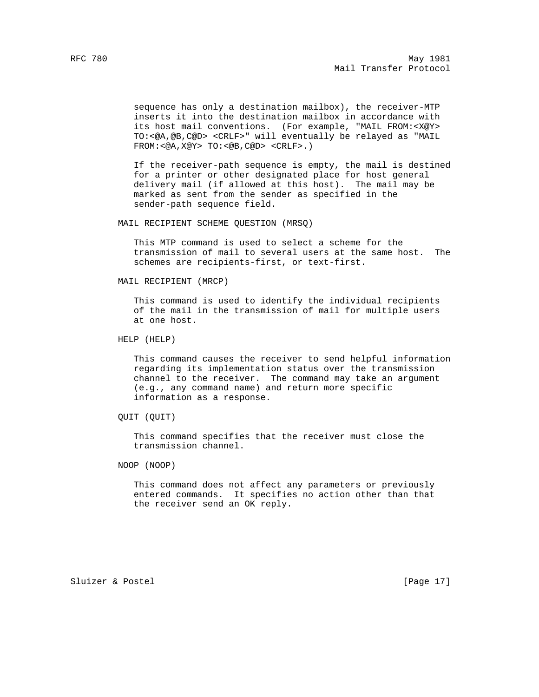sequence has only a destination mailbox), the receiver-MTP inserts it into the destination mailbox in accordance with its host mail conventions. (For example, "MAIL FROM:<X@Y> TO:<@A,@B,C@D> <CRLF>" will eventually be relayed as "MAIL FROM:<@A,X@Y> TO:<@B,C@D> <CRLF>.)

 If the receiver-path sequence is empty, the mail is destined for a printer or other designated place for host general delivery mail (if allowed at this host). The mail may be marked as sent from the sender as specified in the sender-path sequence field.

MAIL RECIPIENT SCHEME QUESTION (MRSQ)

 This MTP command is used to select a scheme for the transmission of mail to several users at the same host. The schemes are recipients-first, or text-first.

MAIL RECIPIENT (MRCP)

 This command is used to identify the individual recipients of the mail in the transmission of mail for multiple users at one host.

HELP (HELP)

 This command causes the receiver to send helpful information regarding its implementation status over the transmission channel to the receiver. The command may take an argument (e.g., any command name) and return more specific information as a response.

QUIT (QUIT)

 This command specifies that the receiver must close the transmission channel.

NOOP (NOOP)

 This command does not affect any parameters or previously entered commands. It specifies no action other than that the receiver send an OK reply.

Sluizer & Postel [Page 17]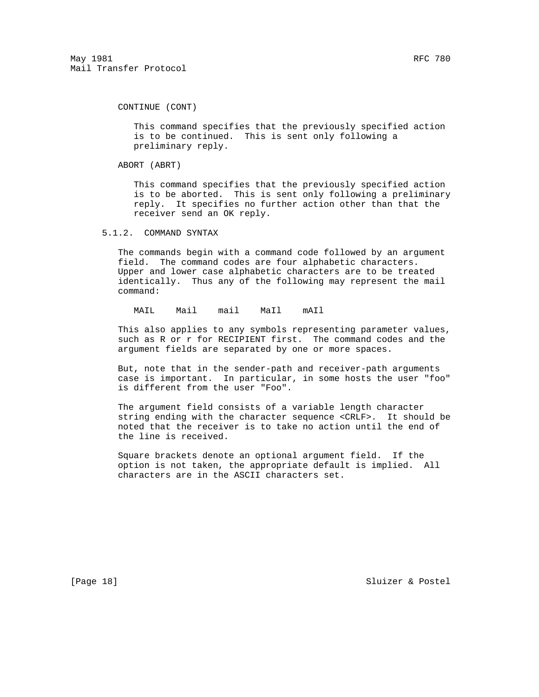CONTINUE (CONT)

 This command specifies that the previously specified action is to be continued. This is sent only following a preliminary reply.

ABORT (ABRT)

 This command specifies that the previously specified action is to be aborted. This is sent only following a preliminary reply. It specifies no further action other than that the receiver send an OK reply.

5.1.2. COMMAND SYNTAX

 The commands begin with a command code followed by an argument field. The command codes are four alphabetic characters. Upper and lower case alphabetic characters are to be treated identically. Thus any of the following may represent the mail command:

MAIL Mail mail MaIl mAIl

 This also applies to any symbols representing parameter values, such as R or r for RECIPIENT first. The command codes and the argument fields are separated by one or more spaces.

 But, note that in the sender-path and receiver-path arguments case is important. In particular, in some hosts the user "foo" is different from the user "Foo".

 The argument field consists of a variable length character string ending with the character sequence <CRLF>. It should be noted that the receiver is to take no action until the end of the line is received.

 Square brackets denote an optional argument field. If the option is not taken, the appropriate default is implied. All characters are in the ASCII characters set.

[Page 18] Sluizer & Postel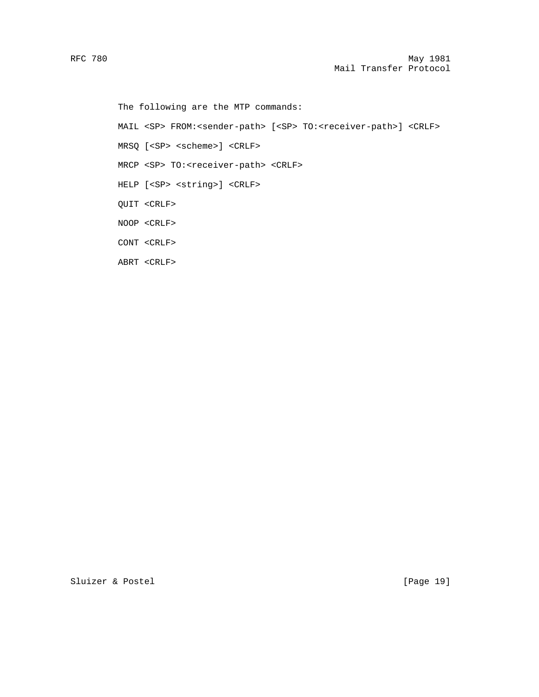The following are the MTP commands:

MAIL <SP> FROM:<sender-path> [<SP> TO:<receiver-path>] <CRLF>

MRSQ [<SP> <scheme>] <CRLF>

MRCP <SP> TO:<receiver-path> <CRLF>

HELP [<SP> <string>] <CRLF>

QUIT <CRLF>

NOOP <CRLF>

CONT <CRLF>

ABRT <CRLF>

Sluizer & Postel [Page 19]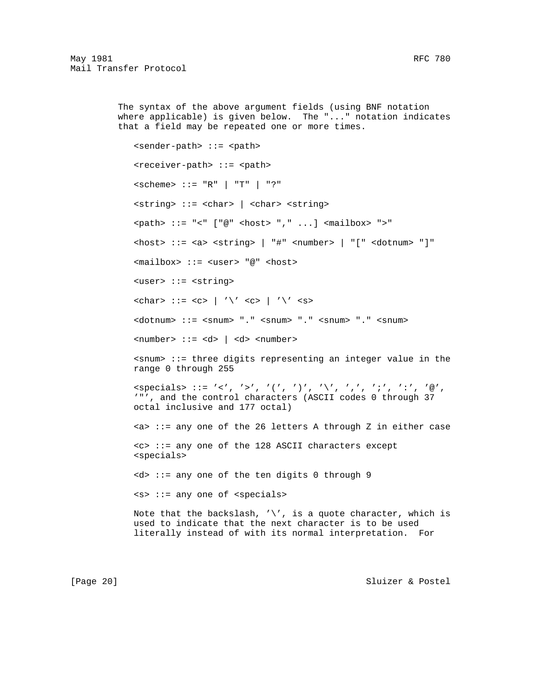The syntax of the above argument fields (using BNF notation where applicable) is given below. The "..." notation indicates that a field may be repeated one or more times. <sender-path> ::= <path> <receiver-path> ::= <path> <scheme> ::= "R" | "T" | "?" <string> ::= <char> | <char> <string> <path> ::= "<" ["@" <host> "," ...] <mailbox> ">" <host> ::= <a> <string> | "#" <number> | "[" <dotnum> "]" <mailbox> ::= <user> "@" <host> <user> ::= <string>  $\langle char \rangle$  ::=  $\langle c \rangle$  | '\'  $\langle c \rangle$  | '\'  $\langle s \rangle$  <dotnum> ::= <snum> "." <snum> "." <snum> "." <snum>  $\langle$ number> ::= <d> | <d> <number> <snum> ::= three digits representing an integer value in the range 0 through 255  $\text{Cspecials} > :: = ' < ', ' > ', '('', ')', '\\ \text{'} ', '', '', '; ', '':', '@',$  '"', and the control characters (ASCII codes 0 through 37 octal inclusive and 177 octal) <a> ::= any one of the 26 letters A through Z in either case <c> ::= any one of the 128 ASCII characters except <specials> <d> ::= any one of the ten digits 0 through 9 <s> ::= any one of <specials> Note that the backslash,  $\sqrt{'}$ , is a quote character, which is used to indicate that the next character is to be used literally instead of with its normal interpretation. For

[Page 20] Sluizer & Postel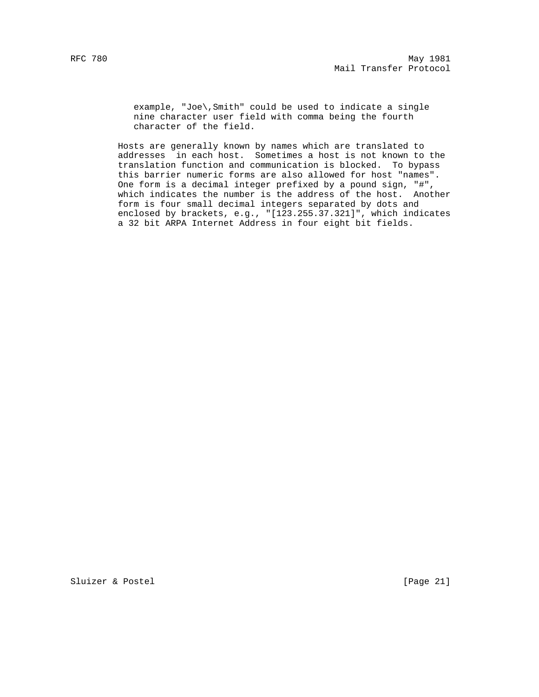example, "Joe\,Smith" could be used to indicate a single nine character user field with comma being the fourth character of the field.

 Hosts are generally known by names which are translated to addresses in each host. Sometimes a host is not known to the translation function and communication is blocked. To bypass this barrier numeric forms are also allowed for host "names". One form is a decimal integer prefixed by a pound sign, "#", which indicates the number is the address of the host. Another form is four small decimal integers separated by dots and enclosed by brackets, e.g., "[123.255.37.321]", which indicates a 32 bit ARPA Internet Address in four eight bit fields.

Sluizer & Postel [Page 21]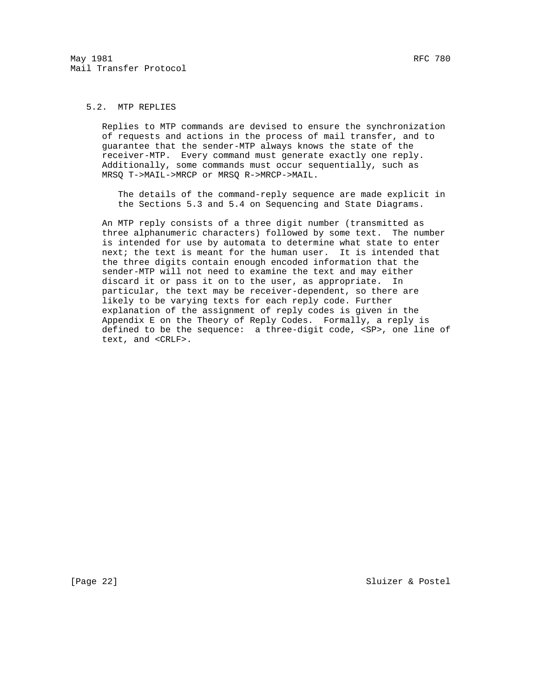## 5.2. MTP REPLIES

 Replies to MTP commands are devised to ensure the synchronization of requests and actions in the process of mail transfer, and to guarantee that the sender-MTP always knows the state of the receiver-MTP. Every command must generate exactly one reply. Additionally, some commands must occur sequentially, such as MRSQ T->MAIL->MRCP or MRSQ R->MRCP->MAIL.

 The details of the command-reply sequence are made explicit in the Sections 5.3 and 5.4 on Sequencing and State Diagrams.

 An MTP reply consists of a three digit number (transmitted as three alphanumeric characters) followed by some text. The number is intended for use by automata to determine what state to enter next; the text is meant for the human user. It is intended that the three digits contain enough encoded information that the sender-MTP will not need to examine the text and may either discard it or pass it on to the user, as appropriate. In particular, the text may be receiver-dependent, so there are likely to be varying texts for each reply code. Further explanation of the assignment of reply codes is given in the Appendix E on the Theory of Reply Codes. Formally, a reply is defined to be the sequence: a three-digit code, <SP>, one line of text, and <CRLF>.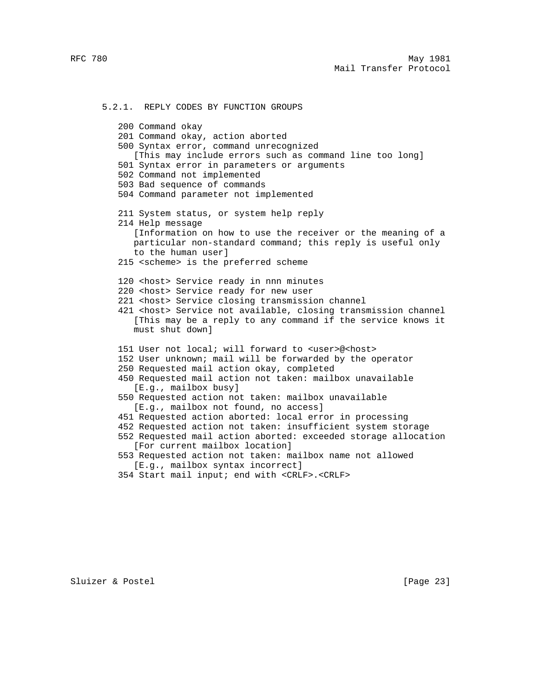5.2.1. REPLY CODES BY FUNCTION GROUPS 200 Command okay 201 Command okay, action aborted 500 Syntax error, command unrecognized [This may include errors such as command line too long] 501 Syntax error in parameters or arguments 502 Command not implemented 503 Bad sequence of commands 504 Command parameter not implemented 211 System status, or system help reply 214 Help message [Information on how to use the receiver or the meaning of a particular non-standard command; this reply is useful only to the human user] 215 <scheme> is the preferred scheme 120 <host> Service ready in nnn minutes 220 <host> Service ready for new user 221 <host> Service closing transmission channel 421 <host> Service not available, closing transmission channel [This may be a reply to any command if the service knows it must shut down] 151 User not local; will forward to <user>@<host> 152 User unknown; mail will be forwarded by the operator 250 Requested mail action okay, completed 450 Requested mail action not taken: mailbox unavailable [E.g., mailbox busy] 550 Requested action not taken: mailbox unavailable [E.g., mailbox not found, no access] 451 Requested action aborted: local error in processing 452 Requested action not taken: insufficient system storage 552 Requested mail action aborted: exceeded storage allocation [For current mailbox location] 553 Requested action not taken: mailbox name not allowed [E.g., mailbox syntax incorrect]

354 Start mail input; end with <CRLF>.<CRLF>

Sluizer & Postel [Page 23]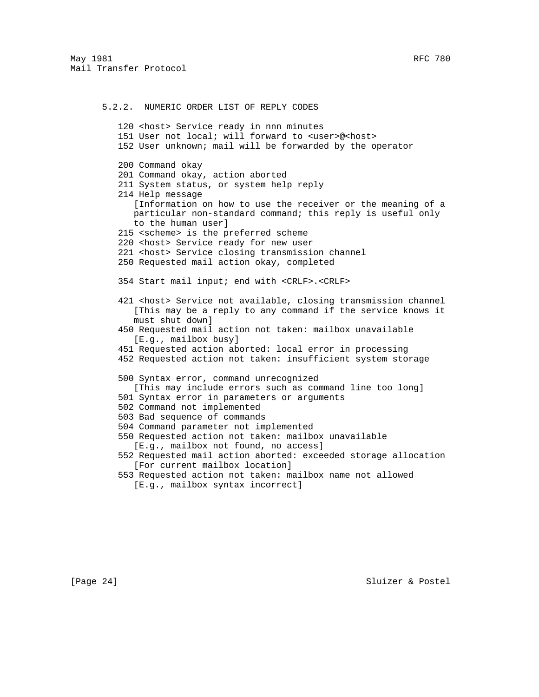5.2.2. NUMERIC ORDER LIST OF REPLY CODES 120 <host> Service ready in nnn minutes 151 User not local; will forward to <user>@<host> 152 User unknown; mail will be forwarded by the operator 200 Command okay 201 Command okay, action aborted 211 System status, or system help reply 214 Help message [Information on how to use the receiver or the meaning of a particular non-standard command; this reply is useful only to the human user] 215 <scheme> is the preferred scheme 220 <host> Service ready for new user 221 <host> Service closing transmission channel 250 Requested mail action okay, completed 354 Start mail input; end with <CRLF>.<CRLF> 421 <host> Service not available, closing transmission channel [This may be a reply to any command if the service knows it must shut down] 450 Requested mail action not taken: mailbox unavailable [E.g., mailbox busy] 451 Requested action aborted: local error in processing 452 Requested action not taken: insufficient system storage 500 Syntax error, command unrecognized [This may include errors such as command line too long] 501 Syntax error in parameters or arguments 502 Command not implemented 503 Bad sequence of commands 504 Command parameter not implemented 550 Requested action not taken: mailbox unavailable [E.g., mailbox not found, no access] 552 Requested mail action aborted: exceeded storage allocation [For current mailbox location] 553 Requested action not taken: mailbox name not allowed [E.g., mailbox syntax incorrect]

[Page 24] Sluizer & Postel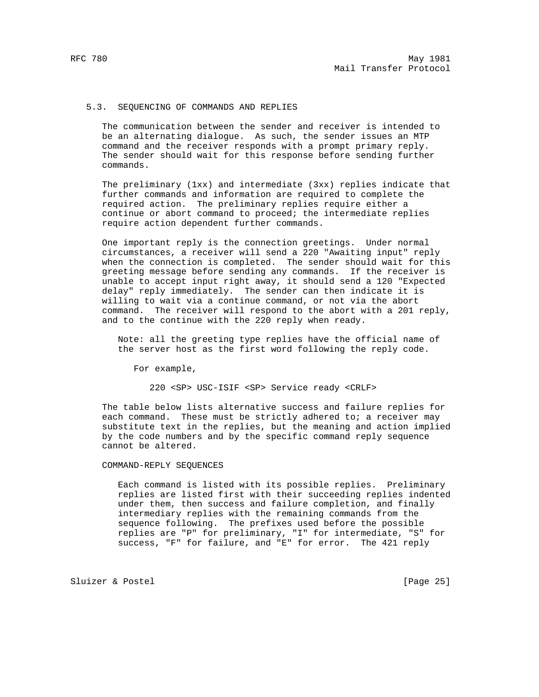## 5.3. SEQUENCING OF COMMANDS AND REPLIES

 The communication between the sender and receiver is intended to be an alternating dialogue. As such, the sender issues an MTP command and the receiver responds with a prompt primary reply. The sender should wait for this response before sending further commands.

 The preliminary (1xx) and intermediate (3xx) replies indicate that further commands and information are required to complete the required action. The preliminary replies require either a continue or abort command to proceed; the intermediate replies require action dependent further commands.

 One important reply is the connection greetings. Under normal circumstances, a receiver will send a 220 "Awaiting input" reply when the connection is completed. The sender should wait for this greeting message before sending any commands. If the receiver is unable to accept input right away, it should send a 120 "Expected delay" reply immediately. The sender can then indicate it is willing to wait via a continue command, or not via the abort command. The receiver will respond to the abort with a 201 reply, and to the continue with the 220 reply when ready.

 Note: all the greeting type replies have the official name of the server host as the first word following the reply code.

For example,

220 <SP> USC-ISIF <SP> Service ready <CRLF>

 The table below lists alternative success and failure replies for each command. These must be strictly adhered to; a receiver may substitute text in the replies, but the meaning and action implied by the code numbers and by the specific command reply sequence cannot be altered.

COMMAND-REPLY SEQUENCES

 Each command is listed with its possible replies. Preliminary replies are listed first with their succeeding replies indented under them, then success and failure completion, and finally intermediary replies with the remaining commands from the sequence following. The prefixes used before the possible replies are "P" for preliminary, "I" for intermediate, "S" for success, "F" for failure, and "E" for error. The 421 reply

Sluizer & Postel [Page 25]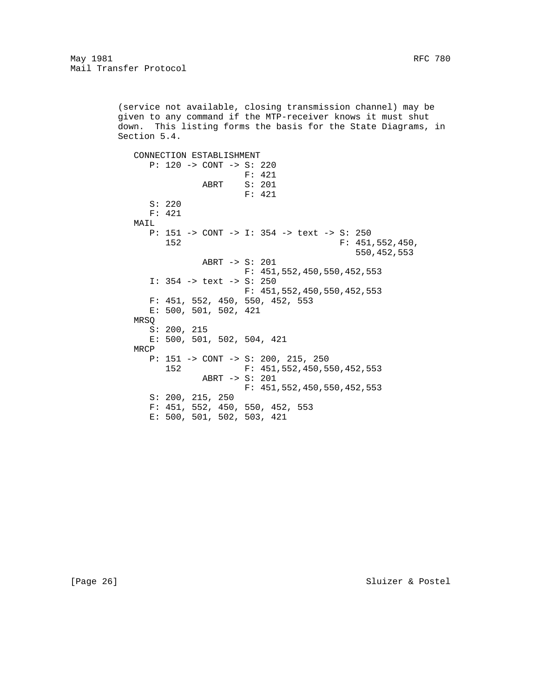(service not available, closing transmission channel) may be given to any command if the MTP-receiver knows it must shut down. This listing forms the basis for the State Diagrams, in Section 5.4.

 CONNECTION ESTABLISHMENT P: 120 -> CONT -> S: 220 F: 421 ABRT S: 201 F: 421 S: 220 F: 421 MAIL P: 151 -> CONT -> I: 354 -> text -> S: 250 152 F: 451,552,450, 550,452,553 ABRT -> S: 201 F: 451,552,450,550,452,553 I: 354 -> text -> S: 250 F: 451,552,450,550,452,553 F: 451, 552, 450, 550, 452, 553 E: 500, 501, 502, 421 MRSQ S: 200, 215 E: 500, 501, 502, 504, 421 MRCP P: 151 -> CONT -> S: 200, 215, 250 152 F: 451,552,450,550,452,553 ABRT -> S: 201 F: 451,552,450,550,452,553 S: 200, 215, 250 F: 451, 552, 450, 550, 452, 553 E: 500, 501, 502, 503, 421

[Page 26] Sluizer & Postel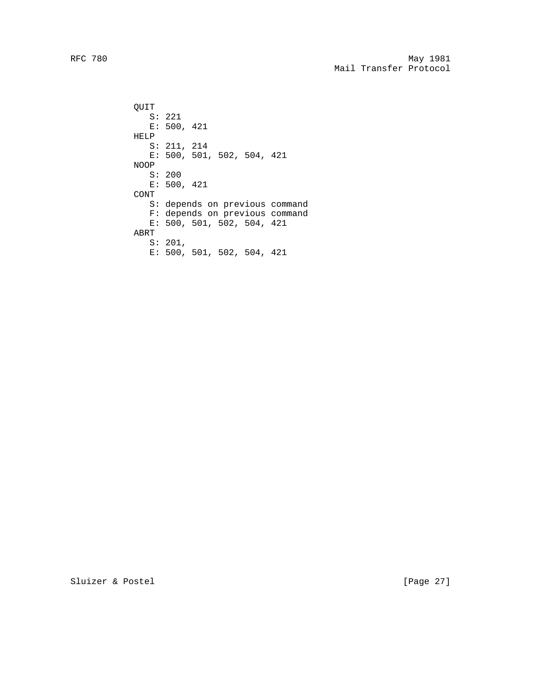RFC 780 May 1981 Mail Transfer Protocol

> QUIT S: 221 E: 500, 421 HELP S: 211, 214 E: 500, 501, 502, 504, 421 NOOP S: 200 E: 500, 421 CONT S: depends on previous command F: depends on previous command E: 500, 501, 502, 504, 421 ABRT S: 201, E: 500, 501, 502, 504, 421

Sluizer & Postel [Page 27]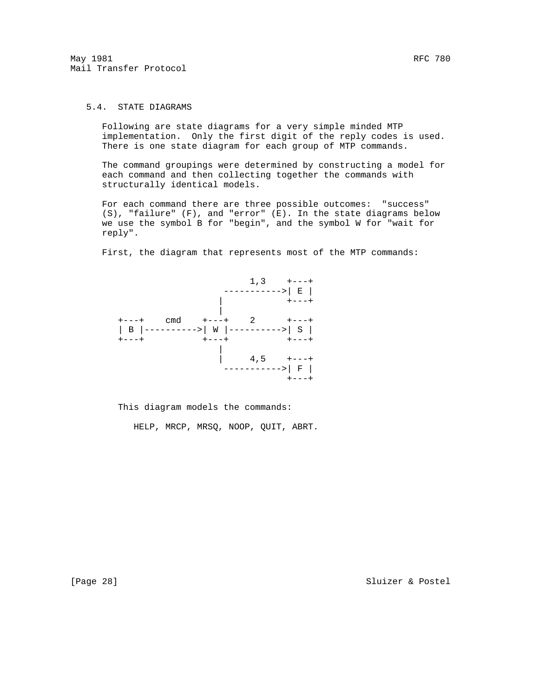## 5.4. STATE DIAGRAMS

 Following are state diagrams for a very simple minded MTP implementation. Only the first digit of the reply codes is used. There is one state diagram for each group of MTP commands.

 The command groupings were determined by constructing a model for each command and then collecting together the commands with structurally identical models.

 For each command there are three possible outcomes: "success" (S), "failure" (F), and "error" (E). In the state diagrams below we use the symbol B for "begin", and the symbol W for "wait for reply".

First, the diagram that represents most of the MTP commands:



This diagram models the commands:

HELP, MRCP, MRSQ, NOOP, QUIT, ABRT.

[Page 28] Sluizer & Postel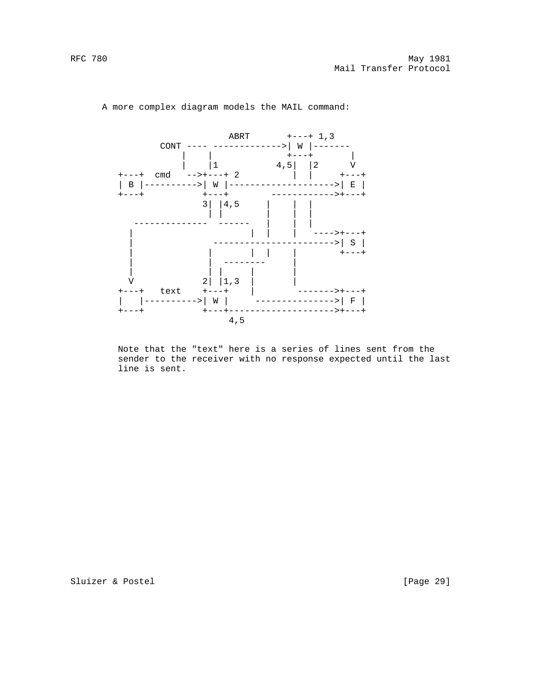

A more complex diagram models the MAIL command:

 Note that the "text" here is a series of lines sent from the sender to the receiver with no response expected until the last line is sent.

Sluizer & Postel [Page 29]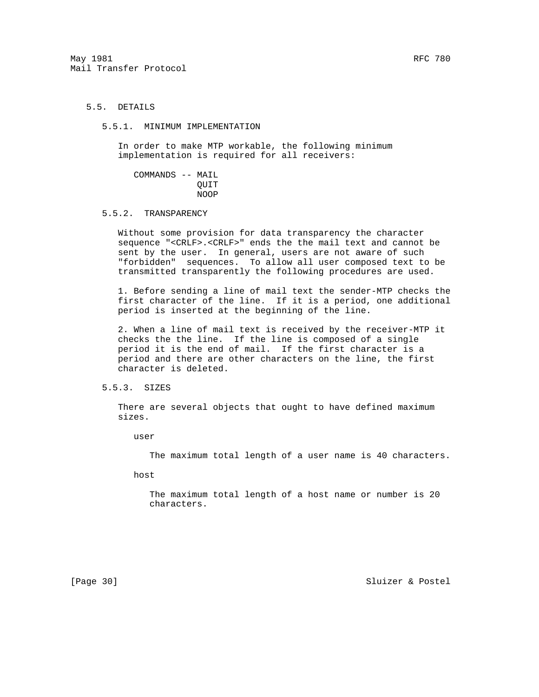# 5.5. DETAILS

5.5.1. MINIMUM IMPLEMENTATION

 In order to make MTP workable, the following minimum implementation is required for all receivers:

 COMMANDS -- MAIL QUIT NOOP

5.5.2. TRANSPARENCY

 Without some provision for data transparency the character sequence "<CRLF>.<CRLF>" ends the the mail text and cannot be sent by the user. In general, users are not aware of such "forbidden" sequences. To allow all user composed text to be transmitted transparently the following procedures are used.

 1. Before sending a line of mail text the sender-MTP checks the first character of the line. If it is a period, one additional period is inserted at the beginning of the line.

 2. When a line of mail text is received by the receiver-MTP it checks the the line. If the line is composed of a single period it is the end of mail. If the first character is a period and there are other characters on the line, the first character is deleted.

### 5.5.3. SIZES

 There are several objects that ought to have defined maximum sizes.

user

The maximum total length of a user name is 40 characters.

host

 The maximum total length of a host name or number is 20 characters.

[Page 30] Sluizer & Postel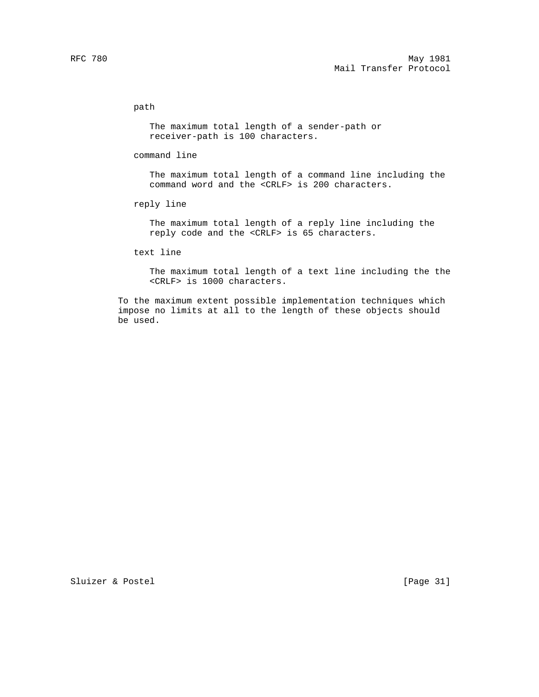## path

 The maximum total length of a sender-path or receiver-path is 100 characters.

### command line

 The maximum total length of a command line including the command word and the <CRLF> is 200 characters.

## reply line

 The maximum total length of a reply line including the reply code and the <CRLF> is 65 characters.

## text line

 The maximum total length of a text line including the the <CRLF> is 1000 characters.

 To the maximum extent possible implementation techniques which impose no limits at all to the length of these objects should be used.

Sluizer & Postel [Page 31]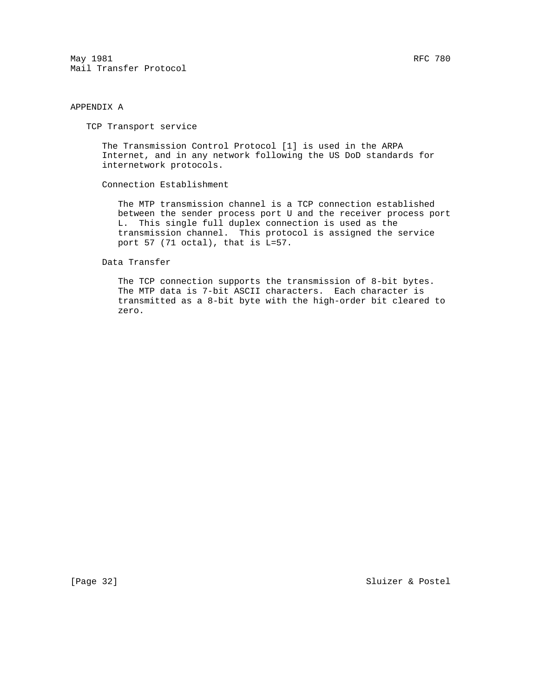May 1981 RFC 780 Mail Transfer Protocol

## APPENDIX A

TCP Transport service

 The Transmission Control Protocol [1] is used in the ARPA Internet, and in any network following the US DoD standards for internetwork protocols.

Connection Establishment

 The MTP transmission channel is a TCP connection established between the sender process port U and the receiver process port L. This single full duplex connection is used as the transmission channel. This protocol is assigned the service port 57 (71 octal), that is L=57.

Data Transfer

 The TCP connection supports the transmission of 8-bit bytes. The MTP data is 7-bit ASCII characters. Each character is transmitted as a 8-bit byte with the high-order bit cleared to zero.

[Page 32] Sluizer & Postel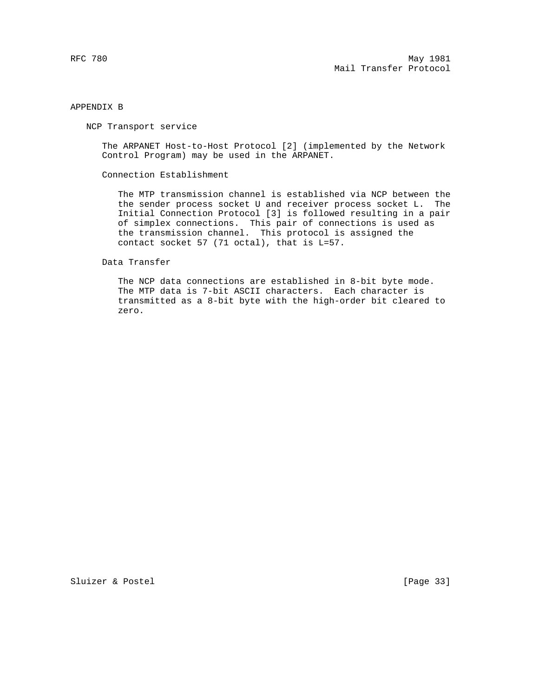## APPENDIX B

NCP Transport service

 The ARPANET Host-to-Host Protocol [2] (implemented by the Network Control Program) may be used in the ARPANET.

Connection Establishment

 The MTP transmission channel is established via NCP between the the sender process socket U and receiver process socket L. The Initial Connection Protocol [3] is followed resulting in a pair of simplex connections. This pair of connections is used as the transmission channel. This protocol is assigned the contact socket 57 (71 octal), that is L=57.

Data Transfer

 The NCP data connections are established in 8-bit byte mode. The MTP data is 7-bit ASCII characters. Each character is transmitted as a 8-bit byte with the high-order bit cleared to zero.

Sluizer & Postel [Page 33]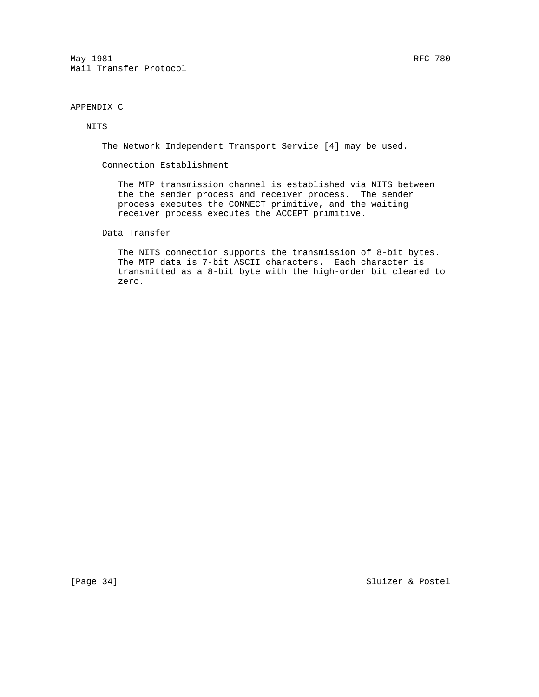May 1981 RFC 780 Mail Transfer Protocol

# APPENDIX C

## NITS

The Network Independent Transport Service [4] may be used.

Connection Establishment

 The MTP transmission channel is established via NITS between the the sender process and receiver process. The sender process executes the CONNECT primitive, and the waiting receiver process executes the ACCEPT primitive.

Data Transfer

 The NITS connection supports the transmission of 8-bit bytes. The MTP data is 7-bit ASCII characters. Each character is transmitted as a 8-bit byte with the high-order bit cleared to zero.

[Page 34] Sluizer & Postel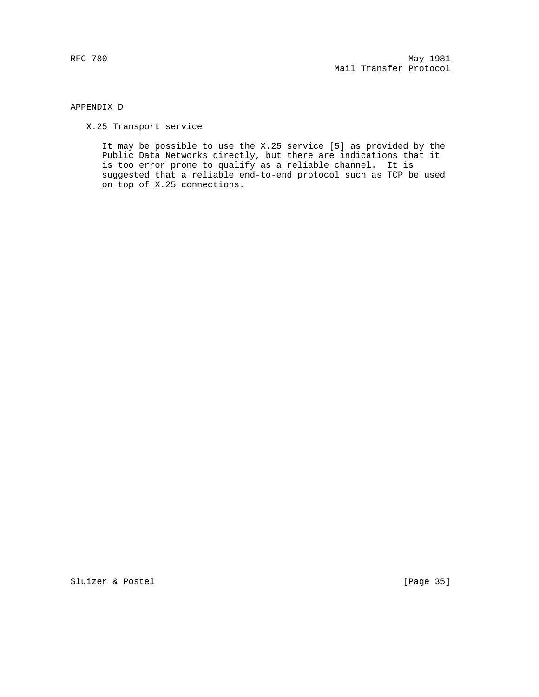## APPENDIX D

X.25 Transport service

 It may be possible to use the X.25 service [5] as provided by the Public Data Networks directly, but there are indications that it is too error prone to qualify as a reliable channel. It is suggested that a reliable end-to-end protocol such as TCP be used on top of X.25 connections.

Sluizer & Postel [Page 35]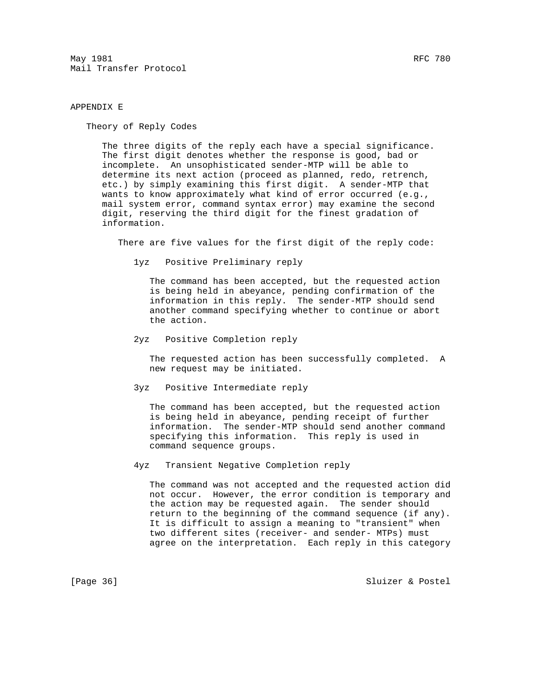$\texttt{May 1981} \quad \texttt{RFC 780}$ Mail Transfer Protocol

## APPENDIX E

Theory of Reply Codes

 The three digits of the reply each have a special significance. The first digit denotes whether the response is good, bad or incomplete. An unsophisticated sender-MTP will be able to determine its next action (proceed as planned, redo, retrench, etc.) by simply examining this first digit. A sender-MTP that wants to know approximately what kind of error occurred (e.g., mail system error, command syntax error) may examine the second digit, reserving the third digit for the finest gradation of information.

There are five values for the first digit of the reply code:

1yz Positive Preliminary reply

 The command has been accepted, but the requested action is being held in abeyance, pending confirmation of the information in this reply. The sender-MTP should send another command specifying whether to continue or abort the action.

2yz Positive Completion reply

 The requested action has been successfully completed. A new request may be initiated.

3yz Positive Intermediate reply

 The command has been accepted, but the requested action is being held in abeyance, pending receipt of further information. The sender-MTP should send another command specifying this information. This reply is used in command sequence groups.

4yz Transient Negative Completion reply

 The command was not accepted and the requested action did not occur. However, the error condition is temporary and the action may be requested again. The sender should return to the beginning of the command sequence (if any). It is difficult to assign a meaning to "transient" when two different sites (receiver- and sender- MTPs) must agree on the interpretation. Each reply in this category

[Page 36] Sluizer & Postel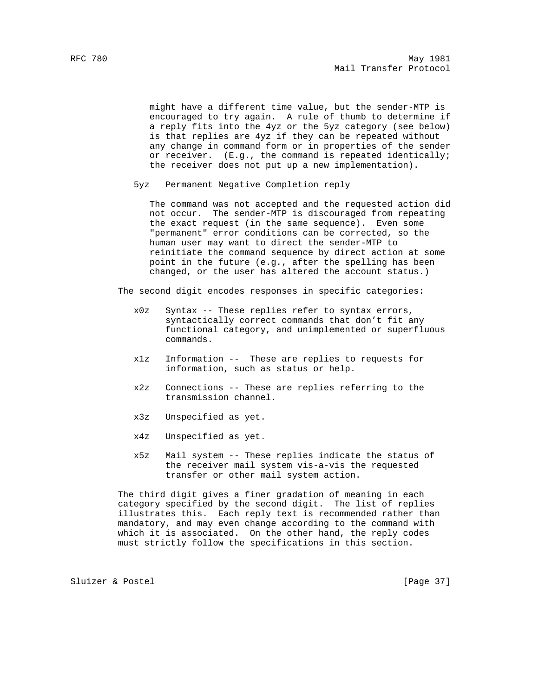might have a different time value, but the sender-MTP is encouraged to try again. A rule of thumb to determine if a reply fits into the 4yz or the 5yz category (see below) is that replies are 4yz if they can be repeated without any change in command form or in properties of the sender or receiver. (E.g., the command is repeated identically; the receiver does not put up a new implementation).

5yz Permanent Negative Completion reply

 The command was not accepted and the requested action did not occur. The sender-MTP is discouraged from repeating the exact request (in the same sequence). Even some "permanent" error conditions can be corrected, so the human user may want to direct the sender-MTP to reinitiate the command sequence by direct action at some point in the future (e.g., after the spelling has been changed, or the user has altered the account status.)

The second digit encodes responses in specific categories:

- x0z Syntax -- These replies refer to syntax errors, syntactically correct commands that don't fit any functional category, and unimplemented or superfluous commands.
- x1z Information -- These are replies to requests for information, such as status or help.
- x2z Connections -- These are replies referring to the transmission channel.
- x3z Unspecified as yet.
- x4z Unspecified as yet.
- x5z Mail system -- These replies indicate the status of the receiver mail system vis-a-vis the requested transfer or other mail system action.

 The third digit gives a finer gradation of meaning in each category specified by the second digit. The list of replies illustrates this. Each reply text is recommended rather than mandatory, and may even change according to the command with which it is associated. On the other hand, the reply codes must strictly follow the specifications in this section.

Sluizer & Postel [Page 37]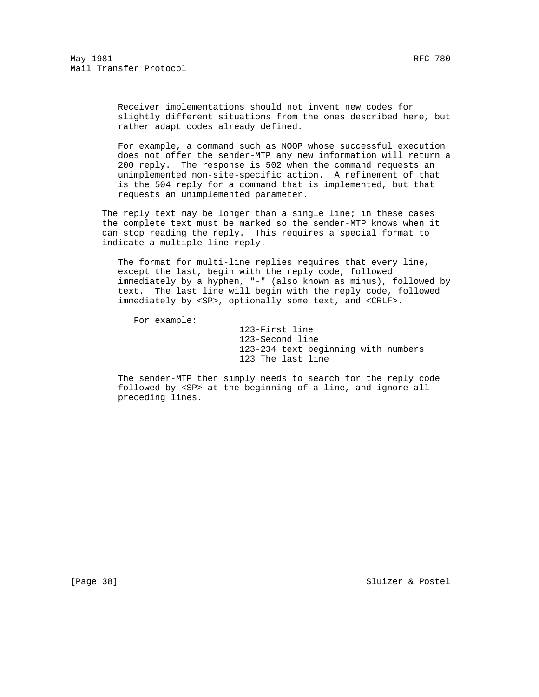Receiver implementations should not invent new codes for slightly different situations from the ones described here, but rather adapt codes already defined.

 For example, a command such as NOOP whose successful execution does not offer the sender-MTP any new information will return a 200 reply. The response is 502 when the command requests an unimplemented non-site-specific action. A refinement of that is the 504 reply for a command that is implemented, but that requests an unimplemented parameter.

The reply text may be longer than a single line; in these cases the complete text must be marked so the sender-MTP knows when it can stop reading the reply. This requires a special format to indicate a multiple line reply.

 The format for multi-line replies requires that every line, except the last, begin with the reply code, followed immediately by a hyphen, "-" (also known as minus), followed by text. The last line will begin with the reply code, followed immediately by <SP>, optionally some text, and <CRLF>.

For example:

 123-First line 123-Second line 123-234 text beginning with numbers 123 The last line

 The sender-MTP then simply needs to search for the reply code followed by <SP> at the beginning of a line, and ignore all preceding lines.

[Page 38] Sluizer & Postel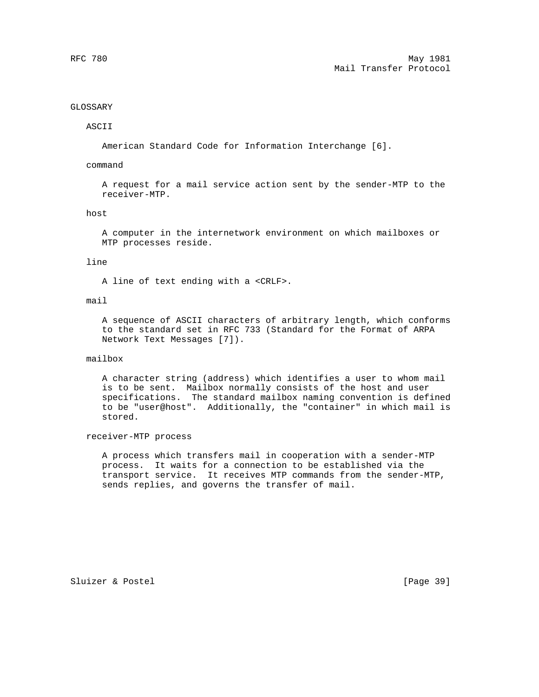## GLOSSARY

## ASCII

American Standard Code for Information Interchange [6].

### command

 A request for a mail service action sent by the sender-MTP to the receiver-MTP.

## host

 A computer in the internetwork environment on which mailboxes or MTP processes reside.

### line

A line of text ending with a <CRLF>.

### mail

 A sequence of ASCII characters of arbitrary length, which conforms to the standard set in RFC 733 (Standard for the Format of ARPA Network Text Messages [7]).

## mailbox

 A character string (address) which identifies a user to whom mail is to be sent. Mailbox normally consists of the host and user specifications. The standard mailbox naming convention is defined to be "user@host". Additionally, the "container" in which mail is stored.

### receiver-MTP process

 A process which transfers mail in cooperation with a sender-MTP process. It waits for a connection to be established via the transport service. It receives MTP commands from the sender-MTP, sends replies, and governs the transfer of mail.

Sluizer & Postel [Page 39]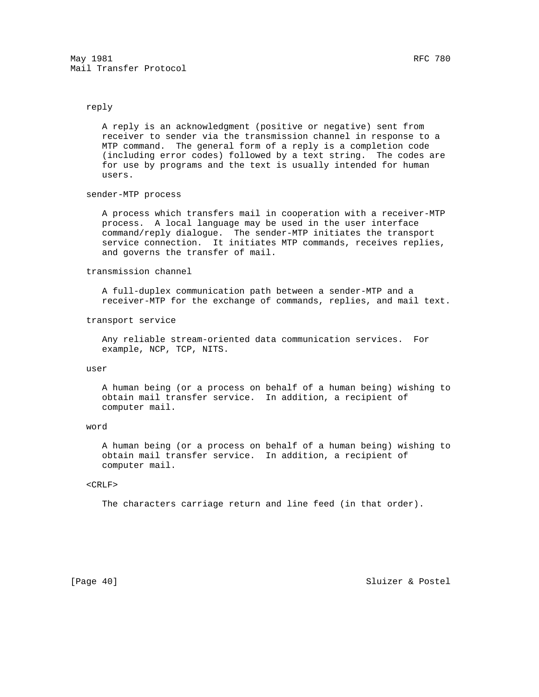## reply

 A reply is an acknowledgment (positive or negative) sent from receiver to sender via the transmission channel in response to a MTP command. The general form of a reply is a completion code (including error codes) followed by a text string. The codes are for use by programs and the text is usually intended for human users.

#### sender-MTP process

 A process which transfers mail in cooperation with a receiver-MTP process. A local language may be used in the user interface command/reply dialogue. The sender-MTP initiates the transport service connection. It initiates MTP commands, receives replies, and governs the transfer of mail.

## transmission channel

 A full-duplex communication path between a sender-MTP and a receiver-MTP for the exchange of commands, replies, and mail text.

#### transport service

 Any reliable stream-oriented data communication services. For example, NCP, TCP, NITS.

### user

 A human being (or a process on behalf of a human being) wishing to obtain mail transfer service. In addition, a recipient of computer mail.

#### word

 A human being (or a process on behalf of a human being) wishing to obtain mail transfer service. In addition, a recipient of computer mail.

#### <CRLF>

The characters carriage return and line feed (in that order).

[Page 40] Sluizer & Postel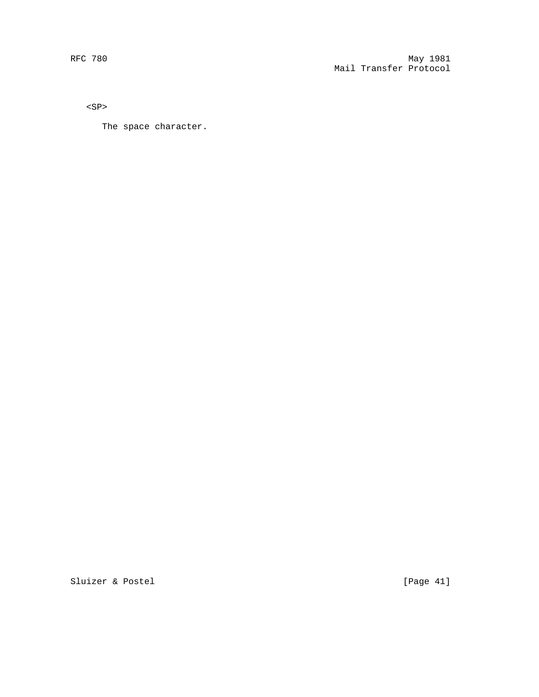$<\!{\rm SP}\!>$ 

The space character.

Sluizer & Postel [Page 41]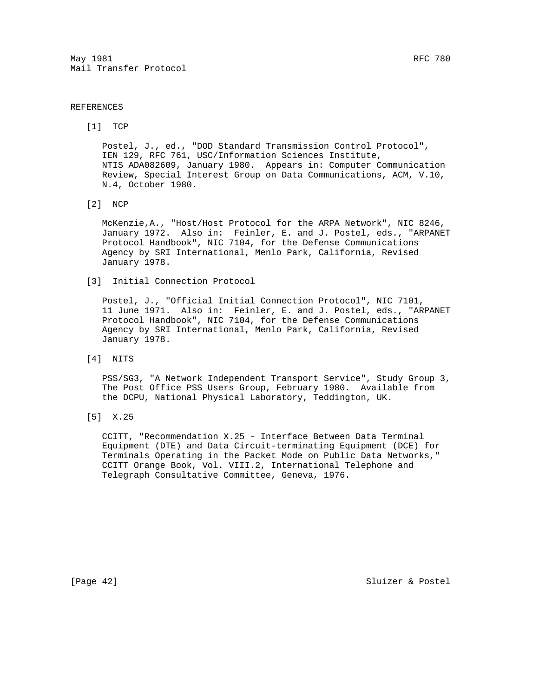$\texttt{May 1981} \quad \texttt{RFC 780}$ Mail Transfer Protocol

## REFERENCES

[1] TCP

 Postel, J., ed., "DOD Standard Transmission Control Protocol", IEN 129, RFC 761, USC/Information Sciences Institute, NTIS ADA082609, January 1980. Appears in: Computer Communication Review, Special Interest Group on Data Communications, ACM, V.10, N.4, October 1980.

[2] NCP

 McKenzie,A., "Host/Host Protocol for the ARPA Network", NIC 8246, January 1972. Also in: Feinler, E. and J. Postel, eds., "ARPANET Protocol Handbook", NIC 7104, for the Defense Communications Agency by SRI International, Menlo Park, California, Revised January 1978.

[3] Initial Connection Protocol

 Postel, J., "Official Initial Connection Protocol", NIC 7101, 11 June 1971. Also in: Feinler, E. and J. Postel, eds., "ARPANET Protocol Handbook", NIC 7104, for the Defense Communications Agency by SRI International, Menlo Park, California, Revised January 1978.

[4] NITS

 PSS/SG3, "A Network Independent Transport Service", Study Group 3, The Post Office PSS Users Group, February 1980. Available from the DCPU, National Physical Laboratory, Teddington, UK.

[5] X.25

 CCITT, "Recommendation X.25 - Interface Between Data Terminal Equipment (DTE) and Data Circuit-terminating Equipment (DCE) for Terminals Operating in the Packet Mode on Public Data Networks," CCITT Orange Book, Vol. VIII.2, International Telephone and Telegraph Consultative Committee, Geneva, 1976.

[Page 42] Sluizer & Postel